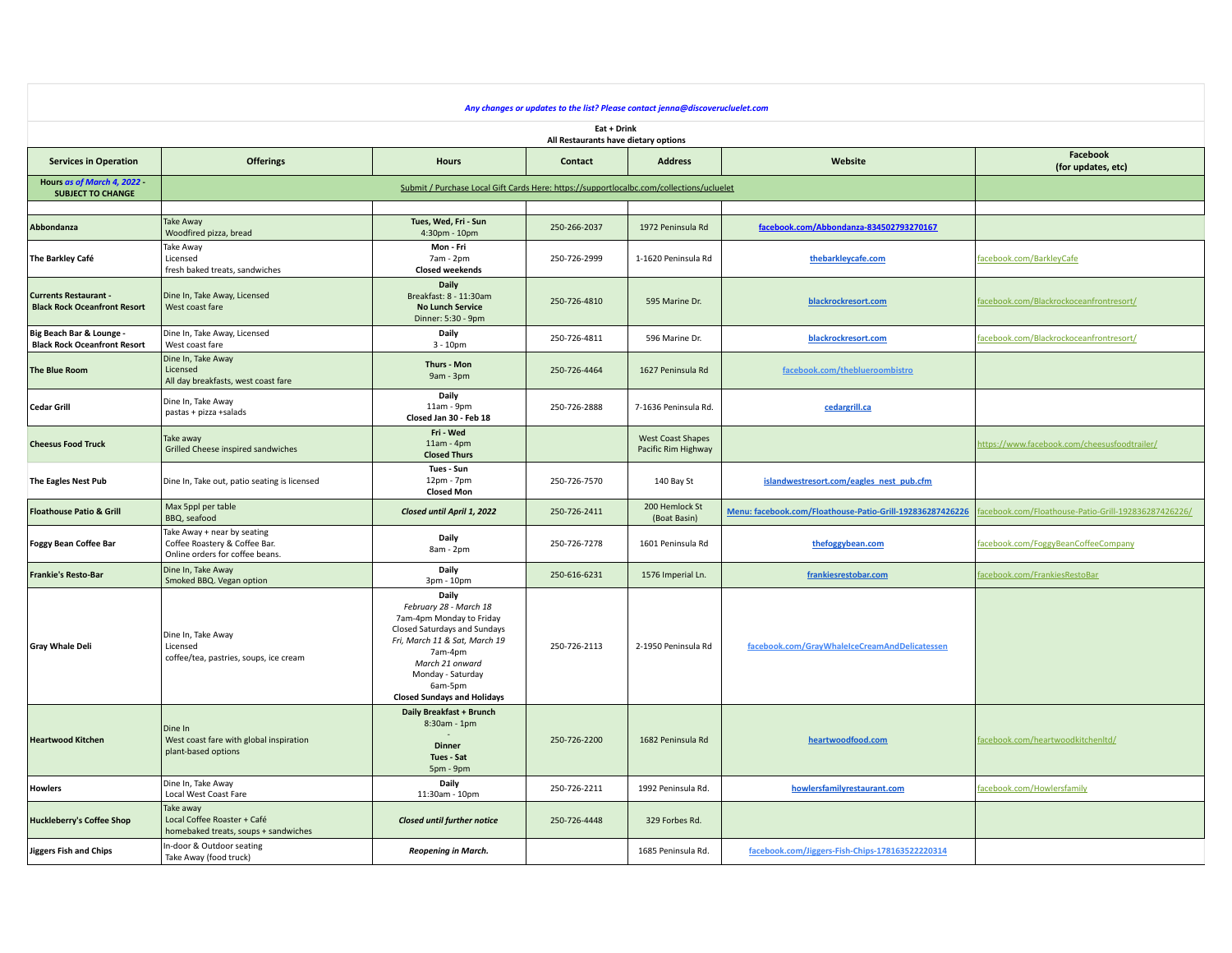| Any changes or updates to the list? Please contact jenna@discoverucluelet.com |                                                                                                 |                                                                                                                                                                                                                                  |              |                                                 |                                                           |                                                     |  |  |  |  |
|-------------------------------------------------------------------------------|-------------------------------------------------------------------------------------------------|----------------------------------------------------------------------------------------------------------------------------------------------------------------------------------------------------------------------------------|--------------|-------------------------------------------------|-----------------------------------------------------------|-----------------------------------------------------|--|--|--|--|
| Eat + Drink<br>All Restaurants have dietary options                           |                                                                                                 |                                                                                                                                                                                                                                  |              |                                                 |                                                           |                                                     |  |  |  |  |
| <b>Services in Operation</b>                                                  | <b>Offerings</b>                                                                                | <b>Hours</b>                                                                                                                                                                                                                     | Contact      | <b>Address</b>                                  | Website                                                   | Facebook<br>(for updates, etc)                      |  |  |  |  |
| Hours as of March 4, 2022<br><b>SUBJECT TO CHANGE</b>                         |                                                                                                 |                                                                                                                                                                                                                                  |              |                                                 |                                                           |                                                     |  |  |  |  |
| Abbondanza                                                                    | <b>Take Away</b><br>Woodfired pizza, bread                                                      | Tues, Wed, Fri - Sun<br>4:30pm - 10pm                                                                                                                                                                                            | 250-266-2037 | 1972 Peninsula Rd                               | facebook.com/Abbondanza-834502793270167                   |                                                     |  |  |  |  |
| The Barkley Café                                                              | Take Away<br>Licensed<br>fresh baked treats, sandwiches                                         | Mon - Fri<br>7am - 2pm<br><b>Closed weekends</b>                                                                                                                                                                                 | 250-726-2999 | 1-1620 Peninsula Rd                             | thebarkleycafe.com                                        | facebook.com/BarkleyCafe                            |  |  |  |  |
| <b>Currents Restaurant -</b><br><b>Black Rock Oceanfront Resort</b>           | Dine In, Take Away, Licensed<br>West coast fare                                                 | Daily<br>Breakfast: 8 - 11:30am<br><b>No Lunch Service</b><br>Dinner: 5:30 - 9pm                                                                                                                                                 | 250-726-4810 | 595 Marine Dr.                                  | blackrockresort.com                                       | facebook.com/Blackrockoceanfrontresort/             |  |  |  |  |
| Big Beach Bar & Lounge -<br><b>Black Rock Oceanfront Resort</b>               | Dine In, Take Away, Licensed<br>West coast fare                                                 | Daily<br>$3 - 10pm$                                                                                                                                                                                                              | 250-726-4811 | 596 Marine Dr.                                  | blackrockresort.com                                       | facebook.com/Blackrockoceanfrontresort/             |  |  |  |  |
| The Blue Room                                                                 | Dine In, Take Away<br>Licensed<br>All day breakfasts, west coast fare                           | Thurs - Mon<br>9am - 3pm                                                                                                                                                                                                         | 250-726-4464 | 1627 Peninsula Rd                               | facebook.com/theblueroombistro                            |                                                     |  |  |  |  |
| Cedar Grill                                                                   | Dine In, Take Away<br>pastas + pizza +salads                                                    | Daily<br>11am - 9pm<br>Closed Jan 30 - Feb 18                                                                                                                                                                                    | 250-726-2888 | 7-1636 Peninsula Rd.                            | cedargrill.ca                                             |                                                     |  |  |  |  |
| <b>Cheesus Food Truck</b>                                                     | Take away<br>Grilled Cheese inspired sandwiches                                                 | Fri - Wed<br>$11am - 4pm$<br><b>Closed Thurs</b>                                                                                                                                                                                 |              | <b>West Coast Shapes</b><br>Pacific Rim Highway |                                                           | https://www.facebook.com/cheesusfoodtrailer/        |  |  |  |  |
| The Eagles Nest Pub                                                           | Dine In, Take out, patio seating is licensed                                                    | Tues - Sun<br>$12pm - 7pm$<br><b>Closed Mon</b>                                                                                                                                                                                  | 250-726-7570 | 140 Bay St                                      | islandwestresort.com/eagles_nest_pub.cfm                  |                                                     |  |  |  |  |
| <b>Floathouse Patio &amp; Grill</b>                                           | Max 5ppl per table<br>BBQ, seafood                                                              | Closed until April 1, 2022                                                                                                                                                                                                       | 250-726-2411 | 200 Hemlock St<br>(Boat Basin)                  | Menu: facebook.com/Floathouse-Patio-Grill-192836287426226 | acebook.com/Floathouse-Patio-Grill-192836287426226/ |  |  |  |  |
| <b>Foggy Bean Coffee Bar</b>                                                  | Take Away + near by seating<br>Coffee Roastery & Coffee Bar.<br>Online orders for coffee beans. | Daily<br>8am - 2pm                                                                                                                                                                                                               | 250-726-7278 | 1601 Peninsula Rd                               | thefoggybean.com                                          | facebook.com/FoggyBeanCoffeeCompany                 |  |  |  |  |
| <b>Frankie's Resto-Bar</b>                                                    | Dine In, Take Away<br>Smoked BBQ. Vegan option                                                  | Daily<br>3pm - 10pm                                                                                                                                                                                                              | 250-616-6231 | 1576 Imperial Ln.                               | frankiesrestobar.com                                      | facebook.com/FrankiesRestoBar                       |  |  |  |  |
| <b>Gray Whale Deli</b>                                                        | Dine In, Take Away<br>Licensed<br>coffee/tea, pastries, soups, ice cream                        | Daily<br>February 28 - March 18<br>7am-4pm Monday to Friday<br>Closed Saturdays and Sundays<br>Fri, March 11 & Sat, March 19<br>7am-4pm<br>March 21 onward<br>Monday - Saturday<br>6am-5pm<br><b>Closed Sundays and Holidays</b> | 250-726-2113 | 2-1950 Peninsula Rd                             | facebook.com/GrayWhaleIceCreamAndDelicatessen             |                                                     |  |  |  |  |
| <b>Heartwood Kitchen</b>                                                      | Dine In<br>West coast fare with global inspiration<br>plant-based options                       | Daily Breakfast + Brunch<br>8:30am - 1pm<br><b>Dinner</b><br>Tues - Sat<br>5pm - 9pm                                                                                                                                             | 250-726-2200 | 1682 Peninsula Rd                               | heartwoodfood.com                                         | facebook.com/heartwoodkitchenltd/                   |  |  |  |  |
| <b>Howlers</b>                                                                | Dine In, Take Away<br>Local West Coast Fare                                                     | Daily<br>11:30am - 10pm                                                                                                                                                                                                          | 250-726-2211 | 1992 Peninsula Rd.                              | howlersfamilyrestaurant.com                               | facebook.com/Howlersfamily                          |  |  |  |  |
| <b>Huckleberry's Coffee Shop</b>                                              | Take away<br>Local Coffee Roaster + Café<br>homebaked treats, soups + sandwiches                | Closed until further notice                                                                                                                                                                                                      | 250-726-4448 | 329 Forbes Rd.                                  |                                                           |                                                     |  |  |  |  |
| <b>Jiggers Fish and Chips</b>                                                 | In-door & Outdoor seating<br>Take Away (food truck)                                             | Reopening in March.                                                                                                                                                                                                              |              | 1685 Peninsula Rd.                              | facebook.com/Jiggers-Fish-Chips-178163522220314           |                                                     |  |  |  |  |